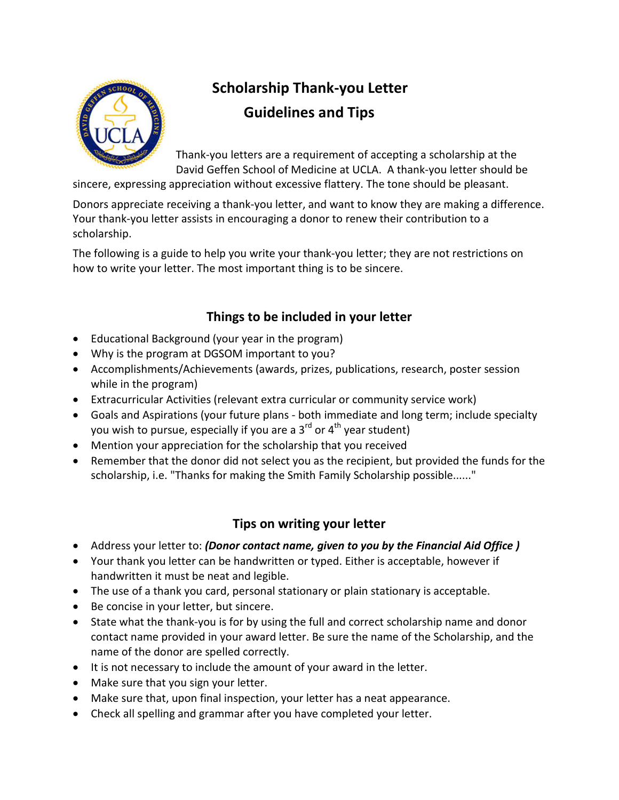

## **Scholarship Thank-you Letter Guidelines and Tips**

Thank-you letters are a requirement of accepting a scholarship at the David Geffen School of Medicine at UCLA. A thank-you letter should be

sincere, expressing appreciation without excessive flattery. The tone should be pleasant.

Donors appreciate receiving a thank-you letter, and want to know they are making a difference. Your thank-you letter assists in encouraging a donor to renew their contribution to a scholarship.

The following is a guide to help you write your thank-you letter; they are not restrictions on how to write your letter. The most important thing is to be sincere.

## **Things to be included in your letter**

- Educational Background (your year in the program)
- Why is the program at DGSOM important to you?
- Accomplishments/Achievements (awards, prizes, publications, research, poster session while in the program)
- Extracurricular Activities (relevant extra curricular or community service work)
- Goals and Aspirations (your future plans both immediate and long term; include specialty you wish to pursue, especially if you are a  $3^{rd}$  or  $4^{th}$  year student)
- Mention your appreciation for the scholarship that you received
- Remember that the donor did not select you as the recipient, but provided the funds for the scholarship, i.e. "Thanks for making the Smith Family Scholarship possible......"

## **Tips on writing your letter**

- Address your letter to: *(Donor contact name, given to you by the Financial Aid Office )*
- Your thank you letter can be handwritten or typed. Either is acceptable, however if handwritten it must be neat and legible.
- The use of a thank you card, personal stationary or plain stationary is acceptable.
- Be concise in your letter, but sincere.
- State what the thank-you is for by using the full and correct scholarship name and donor contact name provided in your award letter. Be sure the name of the Scholarship, and the name of the donor are spelled correctly.
- It is not necessary to include the amount of your award in the letter.
- Make sure that you sign your letter.
- Make sure that, upon final inspection, your letter has a neat appearance.
- Check all spelling and grammar after you have completed your letter.